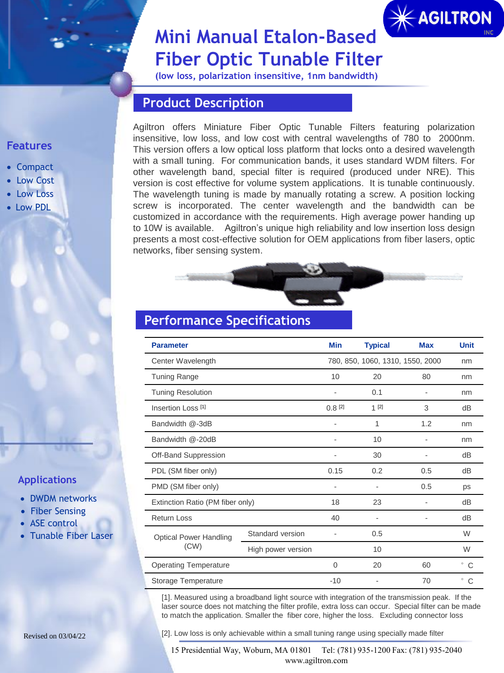# $*$  AGILTRON

## **Mini Manual Etalon-Based Fiber Optic Tunable Filter**

**(low loss, polarization insensitive, 1nm bandwidth)**

## **Product Description**

Agiltron offers Miniature Fiber Optic Tunable Filters featuring polarization insensitive, low loss, and low cost with central wavelengths of 780 to 2000nm. This version offers a low optical loss platform that locks onto a desired wavelength with a small tuning. For communication bands, it uses standard WDM filters. For other wavelength band, special filter is required (produced under NRE). This version is cost effective for volume system applications. It is tunable continuously. The wavelength tuning is made by manually rotating a screw. A position locking screw is incorporated. The center wavelength and the bandwidth can be customized in accordance with the requirements. High average power handing up to 10W is available. Agiltron's unique high reliability and low insertion loss design presents a most cost-effective solution for OEM applications from fiber lasers, optic networks, fiber sensing system.

## **Performance Specifications**

| <b>Parameter</b>                      |                                  | Min                | <b>Typical</b>           | <b>Max</b> | <b>Unit</b>  |
|---------------------------------------|----------------------------------|--------------------|--------------------------|------------|--------------|
| Center Wavelength                     | 780, 850, 1060, 1310, 1550, 2000 | nm                 |                          |            |              |
| <b>Tuning Range</b>                   | 10                               | 20                 | 80                       | nm         |              |
| <b>Tuning Resolution</b>              |                                  | 0.1                |                          | nm         |              |
| Insertion Loss [1]                    |                                  | 0.8 <sup>[2]</sup> | $1^{2}$<br>3             |            | dB           |
| Bandwidth @-3dB                       |                                  |                    | 1                        | 1.2        |              |
| Bandwidth @-20dB                      |                                  | 10                 |                          | nm         |              |
| Off-Band Suppression                  |                                  |                    | 30                       |            | dB           |
| PDL (SM fiber only)                   |                                  | 0.15               | 0.2                      | 0.5        | dB           |
| PMD (SM fiber only)                   |                                  |                    |                          | 0.5        | ps           |
| Extinction Ratio (PM fiber only)      | 18                               | 23                 |                          | dB         |              |
| <b>Return Loss</b>                    |                                  | 40                 | $\overline{\phantom{a}}$ |            | dB           |
| <b>Optical Power Handling</b><br>(CW) | Standard version                 |                    | 0.5                      |            | W            |
|                                       | High power version               |                    | 10                       |            | W            |
| <b>Operating Temperature</b>          |                                  | $\Omega$           | 20                       | 60         | $\degree$ C  |
| Storage Temperature                   |                                  | $-10$              |                          | 70         | $\circ$<br>C |

[1]. Measured using a broadband light source with integration of the transmission peak. If the laser source does not matching the filter profile, extra loss can occur. Special filter can be made to match the application. Smaller the fiber core, higher the loss. Excluding connector loss

Revised on 03/04/22 [2]. Low loss is only achievable within a small tuning range using specially made filter

15 Presidential Way, Woburn, MA 01801 Tel: (781) 935-1200 Fax: (781) 935-2040 www.agiltron.com

#### **Features**

- Compact
- Low Cost
- Low Loss
- Low PDL

#### **Applications**

- DWDM networks
- Fiber Sensing
- ASE control
- Tunable Fiber Laser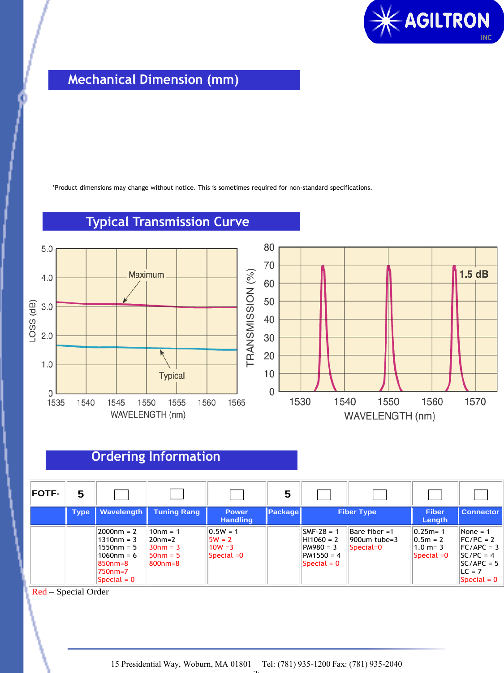

## **Mechanical Dimension (mm)**

\*Product dimensions may change without notice. This is sometimes required for non-standard specifications.



## **Typical Transmission Curve**

## **Ordering Information**

| <b>FOTF-</b> | 5           |                                                                                                          |                                                                  |                                                    | 5       |                                                                                    |                                                  |                                                          |                                                                                                        |
|--------------|-------------|----------------------------------------------------------------------------------------------------------|------------------------------------------------------------------|----------------------------------------------------|---------|------------------------------------------------------------------------------------|--------------------------------------------------|----------------------------------------------------------|--------------------------------------------------------------------------------------------------------|
|              | <b>Type</b> | <b>Wavelength</b>                                                                                        | <b>Tuning Rang</b>                                               | <b>Power</b><br><b>Handling</b>                    | Package | <b>Fiber Type</b>                                                                  |                                                  | <b>Fiber</b><br>Length                                   | <b>Connector</b>                                                                                       |
|              |             | $ 2000$ nm = 2<br>1310nm = 3<br>1550nm = 5<br> 1060nm = 6<br>850nm=8<br>l750nm=7<br>$\text{Special} = 0$ | $10nm = 1$<br>20nm=2<br>$30nm = 3$<br>$150nm = 5$<br>$ 800$ nm=8 | $0.5W = 1$<br>$5W = 2$<br>$10W = 3$<br>Special = 0 |         | $SMF-28 = 1$<br>$ H11060 = 2$<br>PM980 = 3<br>$PM1550 = 4$<br>$\text{Special} = 0$ | Bare fiber $=1$<br>$1900$ um tube=3<br>Special=0 | $0.25m = 1$<br>$ 0.5m = 2 $<br>$1.0 m = 3$<br>Special =0 | None = $1$<br>$FC/PC = 2$<br>$FC/APC = 3$<br>$SC/PC = 4$<br>$SC/APC = 5$<br>$ILC = 7$<br>Special $= 0$ |

Red – Special Order